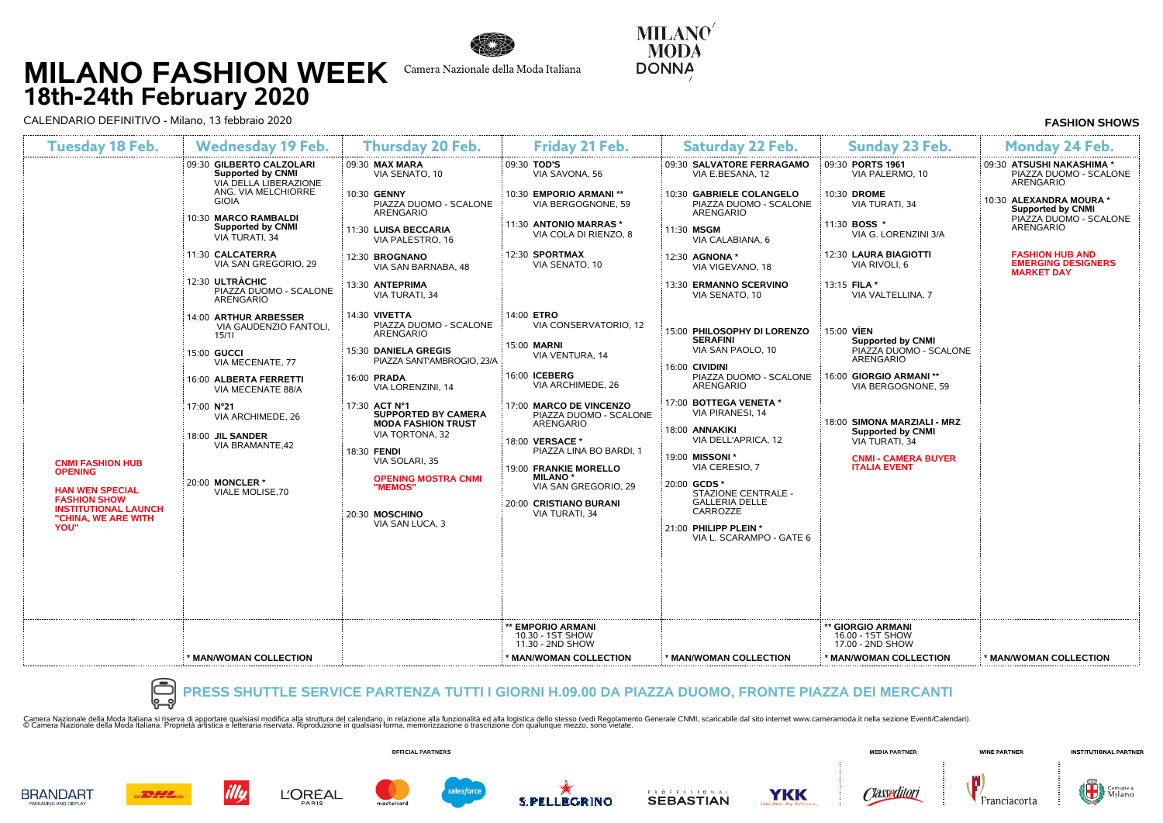# **MILANO FASHION WEEK 18th-24th February 2020**



Camera Nazionale della Moda Italiana

**MILANO MODA DONNA** 

CALENDARIO DEFINITIVO - Milano, 13 febbraio 2020 **FASHION SHOWS**

| <b>Tuesday 18 Feb.</b>                                                                                                                                   | <b>Wednesday 19 Feb.</b><br>09:30 GILBERTO CALZOLARI<br><b>Supported by CNMI</b><br>VIA DELLA LIBERAZIONE<br>ANG. VIA MELCHIORRE<br><b>GIOIA</b><br>10:30 MARCO RAMBALDI<br><b>Supported by CNMI</b><br>VIA TURATI, 34 | <b>Thursday 20 Feb.</b><br>09:30 MAX MARA<br>VIA SENATO, 10<br>10:30 GENNY<br>PIAZZA DUOMO - SCALONE<br><b>ARENGARIO</b>                                                                                   | Friday 21 Feb.<br>09:30 TOD'S<br>VIA SAVONA, 56<br>10:30 EMPORIO ARMANI **<br>VIA BERGOGNONE, 59                                                                                                                                   | <b>Saturday 22 Feb.</b><br>09:30 SALVATORE FERRAGAMO<br>VIA E.BESANA, 12<br>10:30 GABRIELE COLANGELO                                                                                                                                                             | <b>Sunday 23 Feb.</b><br>09:30 PORTS 1961<br>VIA PALERMO, 10                                                            | <b>Monday 24 Feb.</b><br>09:30 ATSUSHI NAKASHIMA *<br>PIAZZA DUOMO - SCALONE<br><b>ARENGARIO</b> |
|----------------------------------------------------------------------------------------------------------------------------------------------------------|------------------------------------------------------------------------------------------------------------------------------------------------------------------------------------------------------------------------|------------------------------------------------------------------------------------------------------------------------------------------------------------------------------------------------------------|------------------------------------------------------------------------------------------------------------------------------------------------------------------------------------------------------------------------------------|------------------------------------------------------------------------------------------------------------------------------------------------------------------------------------------------------------------------------------------------------------------|-------------------------------------------------------------------------------------------------------------------------|--------------------------------------------------------------------------------------------------|
|                                                                                                                                                          |                                                                                                                                                                                                                        |                                                                                                                                                                                                            |                                                                                                                                                                                                                                    |                                                                                                                                                                                                                                                                  |                                                                                                                         |                                                                                                  |
|                                                                                                                                                          |                                                                                                                                                                                                                        |                                                                                                                                                                                                            |                                                                                                                                                                                                                                    |                                                                                                                                                                                                                                                                  |                                                                                                                         |                                                                                                  |
|                                                                                                                                                          |                                                                                                                                                                                                                        |                                                                                                                                                                                                            |                                                                                                                                                                                                                                    | PIAZZA DUOMO - SCALONE<br><b>ARENGARIO</b>                                                                                                                                                                                                                       | 10:30 DROME<br>VIA TURATI, 34                                                                                           | 10:30 ALEXANDRA MOURA *<br><b>Supported by CNMI</b>                                              |
|                                                                                                                                                          |                                                                                                                                                                                                                        | 11:30 LUISA BECCARIA<br>VIA PALESTRO, 16                                                                                                                                                                   | 11:30 ANTONIO MARRAS *<br>VIA COLA DI RIENZO, 8                                                                                                                                                                                    | 11:30 MSGM<br>VIA CALABIANA, 6                                                                                                                                                                                                                                   | 11:30 BOSS *<br>VIA G. LORENZINI 3/A                                                                                    | PIAZZA DUOMO - SCALONE<br><b>ARENGARIO</b>                                                       |
|                                                                                                                                                          | 11:30 CALCATERRA<br>VIA SAN GREGORIO, 29                                                                                                                                                                               | 12:30 BROGNANO<br>VIA SAN BARNABA, 48                                                                                                                                                                      | 12:30 SPORTMAX<br>VIA SENATO, 10                                                                                                                                                                                                   | 12:30 AGNONA *<br>VIA VIGEVANO, 18                                                                                                                                                                                                                               | 12:30 LAURA BIAGIOTTI<br>VIA RIVOLI, 6                                                                                  | <b>FASHION HUB AND</b><br><b>EMERGING DESIGNERS</b><br><b>MARKET DAY</b>                         |
|                                                                                                                                                          | 12:30 ULTRACHIC<br>PIAZZA DUOMO - SCALONE<br><b>ARENGARIO</b>                                                                                                                                                          | 13:30 ANTEPRIMA<br>VIA TURATI, 34                                                                                                                                                                          |                                                                                                                                                                                                                                    | 13:30 ERMANNO SCERVINO<br>VIA SENATO, 10                                                                                                                                                                                                                         | 13:15 FILA *<br>VIA VALTELLINA, 7                                                                                       |                                                                                                  |
|                                                                                                                                                          | 14:00 ARTHUR ARBESSER<br>VIA GAUDENZIO FANTOLI.<br>15/11                                                                                                                                                               | 14:30 VIVETTA<br>PIAZZA DUOMO - SCALONE<br><b>ARENGARIO</b>                                                                                                                                                | 14:00 ETRO<br>VIA CONSERVATORIO, 12                                                                                                                                                                                                | 15:00 PHILOSOPHY DI LORENZO                                                                                                                                                                                                                                      | 15:00 VIEN                                                                                                              |                                                                                                  |
|                                                                                                                                                          | 15:00 GUCCI<br>VIA MECENATE, 77                                                                                                                                                                                        | 15:30 DANIELA GREGIS<br>PIAZZA SANT'AMBROGIO, 23/A                                                                                                                                                         | 15:00 MARNI<br>VIA VENTURA, 14                                                                                                                                                                                                     | <b>SERAFINI</b><br>VIA SAN PAOLO, 10<br>16:00 CIVIDINI                                                                                                                                                                                                           | Supported by CNMI<br>PIAZZA DUOMO - SCALONE<br><b>ARENGARIO</b>                                                         |                                                                                                  |
|                                                                                                                                                          | 16:00 ALBERTA FERRETTI<br>VIA MECENATE 88/A                                                                                                                                                                            | 16:00 PRADA<br>VIA LORENZINI, 14                                                                                                                                                                           | 16:00 ICEBERG<br>VIA ARCHIMEDE, 26                                                                                                                                                                                                 | PIAZZA DUOMO - SCALONE<br><b>ARENGARIO</b>                                                                                                                                                                                                                       | 16:00 GIORGIO ARMANI **<br>VIA BERGOGNONE, 59                                                                           |                                                                                                  |
| <b>CNMI FASHION HUB</b><br><b>OPENING</b><br><b>HAN WEN SPECIAL</b><br><b>FASHION SHOW</b><br><b>INSTITUTIONAL LAUNCH</b><br>"CHINA, WE ARE WITH<br>YOU" | 17:00 N°21<br>VIA ARCHIMEDE, 26<br>18:00 JIL SANDER<br>VIA BRAMANTE.42<br>20:00 MONCLER *<br>VIALE MOLISE.70                                                                                                           | 17:30 ACT N°1<br><b>SUPPORTED BY CAMERA</b><br><b>MODA FASHION TRUST</b><br>VIA TORTONA, 32<br>18:30 FENDI<br>VIA SOLARI, 35<br><b>OPENING MOSTRA CNMI</b><br>"MEMOS"<br>20:30 MOSCHINO<br>VIA SAN LUCA, 3 | 17:00 MARCO DE VINCENZO<br>PIAZZA DUOMO - SCALONE<br><b>ARENGARIO</b><br>18:00 VERSACE *<br>PIAZZA LINA BO BARDI. 1<br>19:00 FRANKIE MORELLO<br><b>MILANO*</b><br>VIA SAN GREGORIO, 29<br>20:00 CRISTIANO BURANI<br>VIA TURATI, 34 | 17:00 BOTTEGA VENETA *<br><b>VIA PIRANESI, 14</b><br>18:00 ANNAKIKI<br>VIA DELL'APRICA, 12<br>19:00 MISSONI *<br>VIA CERESIO, 7<br>20:00 GCDS *<br>STAZIONE CENTRALE -<br><b>GALLERIA DELLE</b><br>CARROZZE<br>21:00 PHILIPP PLEIN *<br>VIA L. SCARAMPO - GATE 6 | 18:00 SIMONA MARZIALI - MRZ<br>Supported by CNMI<br>VIA TURATI, 34<br><b>CNMI - CAMERA BUYER</b><br><b>ITALIA EVENT</b> |                                                                                                  |
|                                                                                                                                                          |                                                                                                                                                                                                                        |                                                                                                                                                                                                            | ** EMPORIO ARMANI<br>10.30 - 1ST SHOW<br>11.30 - 2ND SHOW                                                                                                                                                                          |                                                                                                                                                                                                                                                                  | ** GIORGIO ARMANI<br>16.00 - 1ST SHOW<br>17.00 - 2ND SHOW                                                               |                                                                                                  |
|                                                                                                                                                          | <b>MAN/WOMAN COLLECTION</b>                                                                                                                                                                                            |                                                                                                                                                                                                            | * MAN/WOMAN COLLECTION                                                                                                                                                                                                             | * MAN/WOMAN COLLECTION                                                                                                                                                                                                                                           | <b>MAN/WOMAN COLLECTION</b>                                                                                             | <b>MAN/WOMAN COLLECTION</b>                                                                      |

### **PRESS SHUTTLE SERVICE PARTENZA TUTTI I GIORNI H.09.00 DA PIAZZA DUOMO, FRONTE PIAZZA DEI MERCANTI**

Camera Nazionale della Moda Italiana. Proprietà artistra e letterana rodifica alla struttura del calendario, in relazione alla funzionalia del stroluzione in qualsiasi forma, memorizzazione o trascrizione con qualunque mez



OFFICIAL PARTNERS

 $L'ORÉAL$ 













**MEDIA PARTNER** 





**BRANDART** AGING AND DISPLA

DHL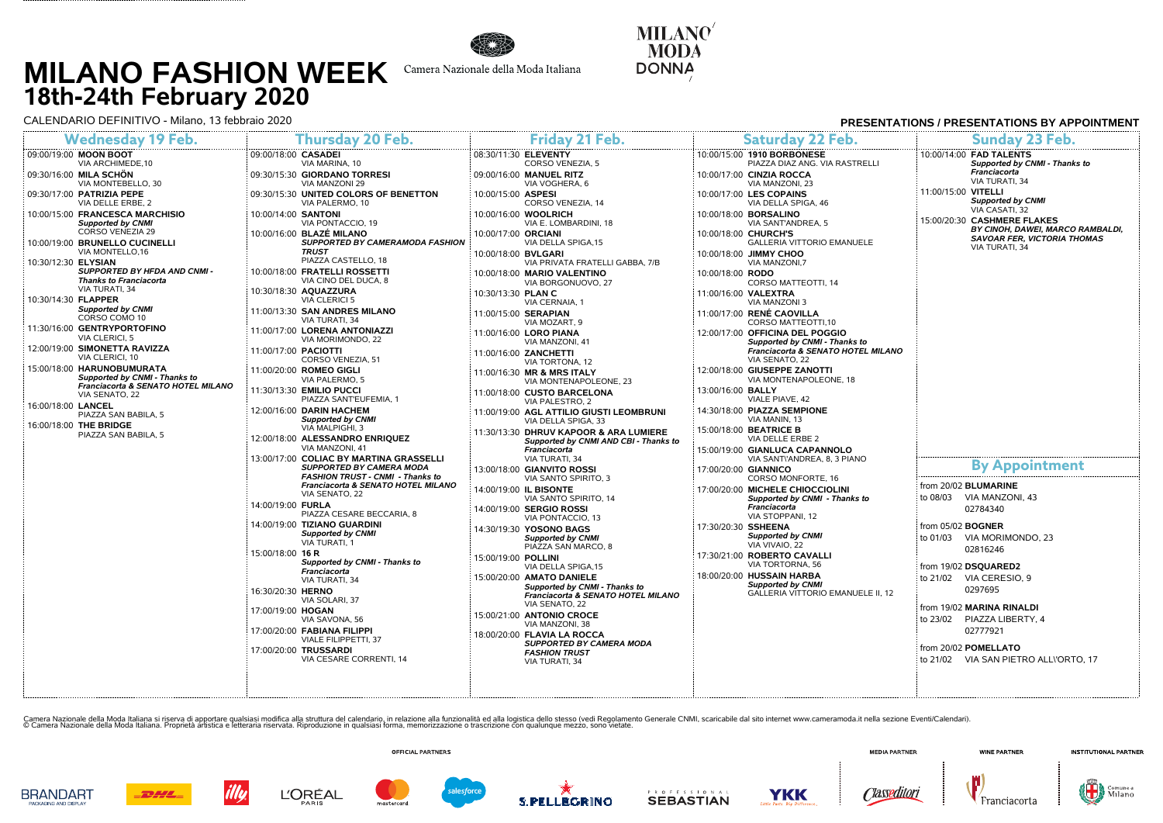# **MILANO FASHION WEEK 18th-24th February 2020**<br>CALENDARIO DEFINITIVO - Milano, 13 febbraio 2020



Camera Nazionale della Moda Italiana

**MILANO MODA DONNA** 

**BRANDART** 

AGING AND DISPLA

**DHL** 

| CALENDARIO DEFINITIVO - Milano. 13 febbraio 2020<br>PRESENTATIONS / PRESENTATIONS BY APPOINTMENT  |                                                                             |                                                                                 |                                                                      |                                                                                   |
|---------------------------------------------------------------------------------------------------|-----------------------------------------------------------------------------|---------------------------------------------------------------------------------|----------------------------------------------------------------------|-----------------------------------------------------------------------------------|
| <b>Wednesday 19 Feb.</b>                                                                          | Thursday 20 Feb.                                                            | Friday 21 Feb.                                                                  | <b>Saturday 22 Feb.</b>                                              | Sunday 23 Feb.                                                                    |
| 09:00/19:00 MOON BOOT<br>VIA ARCHIMEDE, 10                                                        | 09:00/18:00 CASADEI<br>VIA MARINA, 10                                       | 08:30/11:30 ELEVENTY<br>CORSO VENEZIA, 5                                        | 10:00/15:00 1910 BORBONESE<br>PIAZZA DIAZ ANG. VIA RASTRELLI         | 10:00/14:00 FAD TALENTS<br>Supported by CNMI - Thanks to                          |
| 09:30/16:00 <b>MILA SCHÖN</b><br>VIA MONTEBELLO, 30                                               | 09:30/15:30 GIORDANO TORRESI<br>VIA MANZONI 29                              | 09:00/16:00 MANUEL RITZ<br>VIA VOGHERA, 6                                       | 10:00/17:00 CINZIA ROCCA<br>VIA MANZONI, 23                          | Franciacorta<br>VIA TURATI, 34                                                    |
| 09:30/17:00 PATRIZIA PEPE<br>VIA DELLE ERBE, 2                                                    | 09:30/15:30 UNITED COLORS OF BENETTON<br>VIA PALERMO, 10                    | 10:00/15:00 ASPESI<br>CORSO VENEZIA, 14                                         | 10:00/17:00 LES COPAINS<br>VIA DELLA SPIGA, 46                       | 11:00/15:00 VITELLI<br><b>Supported by CNMI</b>                                   |
| 10:00/15:00 FRANCESCA MARCHISIO<br><b>Supported by CNMI</b>                                       | 10:00/14:00 SANTONI<br>VIA PONTACCIO, 19                                    | 10:00/16:00 WOOLRICH<br>VIA E. LOMBARDINI, 18                                   | 10:00/18:00 BORSALINO<br>VIA SANT'ANDREA, 5                          | VIA CASATI, 32<br>15:00/20:30 CASHMERE FLAKES<br>BY CINOH, DAWEI, MARCO RAMBALDI, |
| CORSO VENEZIA 29<br>10:00/19:00 BRUNELLO CUCINELLI<br>VIA MONTELLO, 16                            | 10:00/16:00 BLAZÉ MILANO<br>SUPPORTED BY CAMERAMODA FASHION<br><b>TRUST</b> | 10:00/17:00 ORCIANI<br>VIA DELLA SPIGA,15                                       | 10:00/18:00 CHURCH'S<br><b>GALLERIA VITTORIO EMANUELE</b>            | <b>SAVOAR FER, VICTORIA THOMAS</b><br>VIA TURATI, 34                              |
| 10:30/12:30 ELYSIAN                                                                               | PIAZZA CASTELLO, 18                                                         | 10:00/18:00 BVLGARI<br>VIA PRIVATA FRATELLI GABBA, 7/B                          | 10:00/18:00 JIMMY CHOO<br>VIA MANZONI.7                              |                                                                                   |
| <b>SUPPORTED BY HFDA AND CNMI-</b><br><b>Thanks to Franciacorta</b>                               | 10:00/18:00 FRATELLI ROSSETTI<br>VIA CINO DEL DUCA, 8                       | 10:00/18:00 MARIO VALENTINO<br>VIA BORGONUOVO, 27                               | 10:00/18:00 RODO<br>CORSO MATTEOTTI, 14                              |                                                                                   |
| VIA TURATI, 34<br>10:30/14:30 FLAPPER                                                             | 10:30/18:30 AQUAZZURA<br><b>VIA CLERICI 5</b>                               | 10:30/13:30 PLAN C<br>VIA CERNAIA, 1                                            | 11:00/16:00 VALEXTRA<br>VIA MANZONI 3                                |                                                                                   |
| <b>Supported by CNMI</b><br>CORSO COMO 10                                                         | 11:00/13:30 SAN ANDRES MILANO<br>VIA TURATI, 34                             | 11:00/15:00 SERAPIAN<br>VIA MOZART, 9                                           | 11:00/17:00 RENÉ CAOVILLA<br>CORSO MATTEOTTI.10                      |                                                                                   |
| 1:30/16:00 GENTRYPORTOFINO<br>VIA CLERICI, 5                                                      | 11:00/17:00 LORENA ANTONIAZZI<br>VIA MORIMONDO, 22                          | 11:00/16:00 LORO PIANA<br>VIA MANZONI, 41                                       | 12:00/17:00 OFFICINA DEL POGGIO<br>Supported by CNMI - Thanks to     |                                                                                   |
| 2:00/19:00 SIMONETTA RAVIZZA<br>VIA CLERICI, 10                                                   | 11:00/17:00 PACIOTTI<br>CORSO VENEZIA, 51                                   | 11:00/16:00 ZANCHETTI<br>VIA TORTONA, 12                                        | Franciacorta & SENATO HOTEL MILANO<br>VIA SENATO, 22                 |                                                                                   |
| 15:00/18:00 HARUNOBUMURATA<br>Supported by CNMI - Thanks to<br>Franciacorta & SENATO HOTEL MILANO | 11:00/20:00 ROMEO GIGLI<br>VIA PALERMO, 5                                   | 11:00/16:30 MR & MRS ITALY<br>VIA MONTENAPOLEONE, 23                            | 12:00/18:00 GIUSEPPE ZANOTTI<br>VIA MONTENAPOLEONE, 18               |                                                                                   |
| VIA SENATO, 22<br>16:00/18:00 LANCEL                                                              | 11:30/13:30 EMILIO PUCCI<br>PIAZZA SANT'EUFEMIA, 1                          | 11:00/18:00 CUSTO BARCELONA<br>VIA PALESTRO, 2                                  | 13:00/16:00 BALLY<br>VIALE PIAVE, 42                                 |                                                                                   |
| PIAZZA SAN BABILA, 5<br>16:00/18:00 THE BRIDGE                                                    | 12:00/16:00 DARIN HACHEM<br><b>Supported by CNMI</b>                        | 11:00/19:00 AGL ATTILIO GIUSTI LEOMBRUNI<br>VIA DELLA SPIGA, 33                 | 14:30/18:00 PIAZZA SEMPIONE<br>VIA MANIN, 13                         |                                                                                   |
| PIAZZA SAN BABILA, 5                                                                              | VIA MALPIGHI, 3<br>12:00/18:00 ALESSANDRO ENRIQUEZ                          | 11:30/13:30 DHRUV KAPOOR & ARA LUMIERE<br>Supported by CNMI AND CBI - Thanks to | 15:00/18:00 BEATRICE B<br>VIA DELLE ERBE 2                           |                                                                                   |
|                                                                                                   | VIA MANZONI, 41<br>13:00/17:00 COLIAC BY MARTINA GRASSELLI                  | Franciacorta<br>VIA TURATI, 34                                                  | 15:00/19:00 GIANLUCA CAPANNOLO<br>VIA SANTI'ANDREA, 8, 3 PIANO       |                                                                                   |
|                                                                                                   | SUPPORTED BY CAMERA MODA<br>FASHION TRUST - CNMI - Thanks to                | 13:00/18:00 GIANVITO ROSSI<br>VIA SANTO SPIRITO, 3                              | 17:00/20:00 GIANNICO<br>CORSO MONFORTE, 16                           | <b>By Appointment</b>                                                             |
|                                                                                                   | Franciacorta & SENATO HOTEL MILANO<br>VIA SENATO, 22                        | 14:00/19:00 IL BISONTE<br>VIA SANTO SPIRITO, 14                                 | 17:00/20:00 MICHELE CHIOCCIOLINI<br>Supported by CNMI - Thanks to    | from 20/02 BLUMARINE<br>to 08/03 VIA MANZONI, 43                                  |
|                                                                                                   | 14:00/19:00 FURLA<br>PIAZZA CESARE BECCARIA, 8                              | 14:00/19:00 SERGIO ROSSI<br>VIA PONTACCIO, 13                                   | Franciacorta<br>VIA STOPPANI, 12                                     | 02784340                                                                          |
|                                                                                                   | 14:00/19:00 TIZIANO GUARDINI<br><b>Supported by CNMI</b><br>VIA TURATI, 1   | 14:30/19:30 YOSONO BAGS<br><b>Supported by CNMI</b>                             | 17:30/20:30 SSHEENA<br><b>Supported by CNMI</b>                      | from 05/02 <b>BOGNER</b><br>to 01/03 VIA MORIMONDO, 23                            |
|                                                                                                   | 15:00/18:00 16 R<br>Supported by CNMI - Thanks to                           | PIAZZA SAN MARCO, 8<br>15:00/19:00 POLLINI                                      | VIA VIVAIO, 22<br>17:30/21:00 ROBERTO CAVALLI                        | 02816246                                                                          |
|                                                                                                   | Franciacorta<br>VIA TURATI, 34                                              | VIA DELLA SPIGA,15<br>15:00/20:00 AMATO DANIELE                                 | VIA TORTORNA, 56<br>18:00/20:00 HUSSAIN HARBA                        | from 19/02 DSQUARED2<br>to 21/02 VIA CERESIO, 9                                   |
|                                                                                                   | 16:30/20:30 HERNO<br>VIA SOLARI, 37                                         | Supported by CNMI - Thanks to<br>Franciacorta & SENATO HOTEL MILANO             | <b>Supported by CNMI</b><br><b>GALLERIA VITTORIO EMANUELE II, 12</b> | 0297695                                                                           |
|                                                                                                   | 17:00/19:00 HOGAN<br>VIA SAVONA, 56                                         | VIA SENATO, 22<br>15:00/21:00 ANTONIO CROCE                                     |                                                                      | from 19/02 MARINA RINALDI<br>to 23/02 PIAZZA LIBERTY, 4                           |
|                                                                                                   | 17:00/20:00 FABIANA FILIPPI<br>VIALE FILIPPETTI, 37                         | VIA MANZONI, 38<br>18:00/20:00 FLAVIA LA ROCCA                                  |                                                                      | 02777921                                                                          |
|                                                                                                   | 17:00/20:00 TRUSSARDI<br>VIA CESARE CORRENTI, 14                            | <b>SUPPORTED BY CAMERA MODA</b><br><b>FASHION TRUST</b><br>VIA TURATI, 34       |                                                                      | from 20/02 POMELLATO<br>to 21/02 VIA SAN PIETRO ALLI'ORTO, 17                     |
|                                                                                                   |                                                                             |                                                                                 |                                                                      |                                                                                   |
|                                                                                                   |                                                                             |                                                                                 |                                                                      |                                                                                   |

Camera Nazionale della Moda Italiana. Proprietà artistra e letterana rodifica alla struttura del calendario, in relazione alla funzionalia del stroluzione in qualsiasi forma, memorizzazione o trascrizione con qualunque mez



**L'ORÉAL** 





. . . . . . . . .

**YKK**